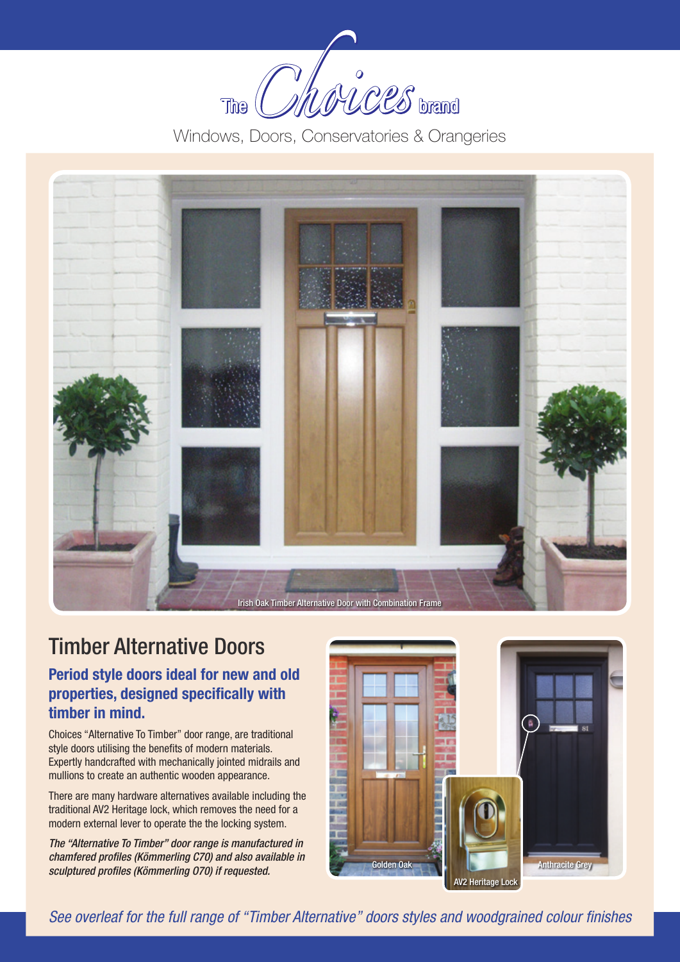

Windows, Doors, Conservatories & Orangeries



## Timber Alternative Doors

#### **Period style doors ideal for new and old properties, designed specifically with timber in mind.**

Choices "Alternative To Timber" door range, are traditional style doors utilising the benefits of modern materials. Expertly handcrafted with mechanically jointed midrails and mullions to create an authentic wooden appearance.

There are many hardware alternatives available including the traditional AV2 Heritage lock, which removes the need for a modern external lever to operate the the locking system.

*The "Alternative To Timber" door range is manufactured in chamfered profiles (Kömmerling C70) and also available in sculptured profiles (Kömmerling O70) if requested.*



*See overleaf for the full range of "Timber Alternative" doors styles and woodgrained colour finishes*